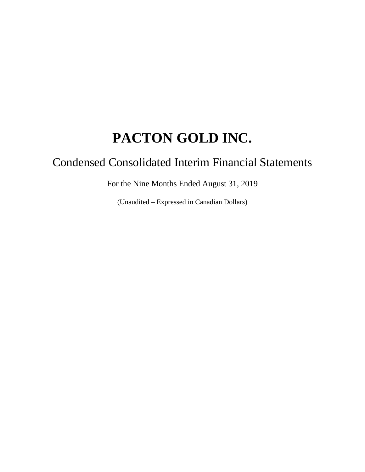# Condensed Consolidated Interim Financial Statements

For the Nine Months Ended August 31, 2019

(Unaudited – Expressed in Canadian Dollars)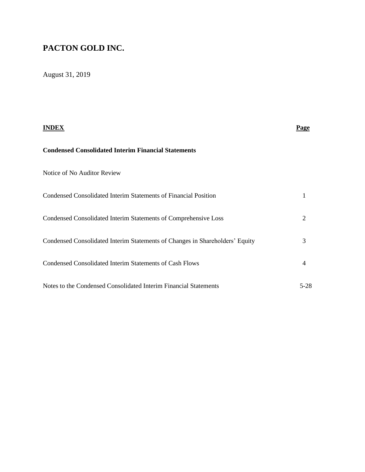# August 31, 2019

| INDEX                                                                        | Page |
|------------------------------------------------------------------------------|------|
| <b>Condensed Consolidated Interim Financial Statements</b>                   |      |
| Notice of No Auditor Review                                                  |      |
| Condensed Consolidated Interim Statements of Financial Position              | 1    |
| Condensed Consolidated Interim Statements of Comprehensive Loss              | 2    |
| Condensed Consolidated Interim Statements of Changes in Shareholders' Equity | 3    |
| <b>Condensed Consolidated Interim Statements of Cash Flows</b>               | 4    |
| Notes to the Condensed Consolidated Interim Financial Statements             | 5-28 |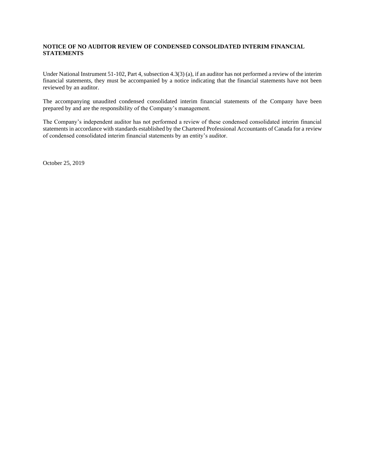### **NOTICE OF NO AUDITOR REVIEW OF CONDENSED CONSOLIDATED INTERIM FINANCIAL STATEMENTS**

Under National Instrument 51-102, Part 4, subsection 4.3(3) (a), if an auditor has not performed a review of the interim financial statements, they must be accompanied by a notice indicating that the financial statements have not been reviewed by an auditor.

The accompanying unaudited condensed consolidated interim financial statements of the Company have been prepared by and are the responsibility of the Company's management.

The Company's independent auditor has not performed a review of these condensed consolidated interim financial statements in accordance with standards established by the Chartered Professional Accountants of Canada for a review of condensed consolidated interim financial statements by an entity's auditor.

October 25, 2019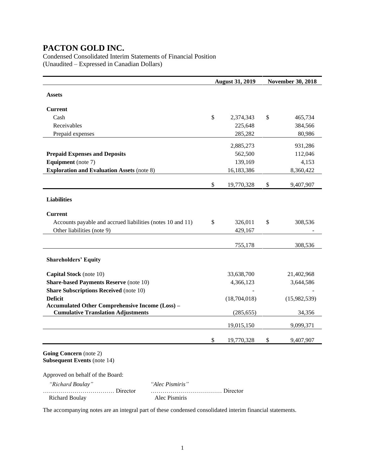Richard Boulay Alec Pismiris

Condensed Consolidated Interim Statements of Financial Position (Unaudited – Expressed in Canadian Dollars)

|                                                                          |               | <b>August 31, 2019</b> | <b>November 30, 2018</b> |
|--------------------------------------------------------------------------|---------------|------------------------|--------------------------|
| <b>Assets</b>                                                            |               |                        |                          |
|                                                                          |               |                        |                          |
| <b>Current</b>                                                           |               |                        |                          |
| Cash                                                                     | $\mathcal{S}$ | 2,374,343              | \$<br>465,734            |
| Receivables                                                              |               | 225,648                | 384,566                  |
| Prepaid expenses                                                         |               | 285,282                | 80,986                   |
|                                                                          |               | 2,885,273              | 931,286                  |
| <b>Prepaid Expenses and Deposits</b>                                     |               | 562,500                | 112,046                  |
| <b>Equipment</b> (note 7)                                                |               | 139,169                | 4,153                    |
| <b>Exploration and Evaluation Assets (note 8)</b>                        |               | 16,183,386             | 8,360,422                |
|                                                                          |               |                        |                          |
|                                                                          | \$            | 19,770,328             | \$<br>9,407,907          |
| <b>Liabilities</b>                                                       |               |                        |                          |
|                                                                          |               |                        |                          |
| <b>Current</b>                                                           |               |                        |                          |
| Accounts payable and accrued liabilities (notes 10 and 11)               | \$            | 326,011                | \$<br>308,536            |
| Other liabilities (note 9)                                               |               | 429,167                |                          |
|                                                                          |               |                        |                          |
|                                                                          |               | 755,178                | 308,536                  |
| <b>Shareholders' Equity</b>                                              |               |                        |                          |
|                                                                          |               |                        |                          |
| Capital Stock (note 10)                                                  |               | 33,638,700             | 21,402,968               |
| <b>Share-based Payments Reserve (note 10)</b>                            |               | 4,366,123              | 3,644,586                |
| <b>Share Subscriptions Received</b> (note 10)                            |               |                        |                          |
| <b>Deficit</b><br><b>Accumulated Other Comprehensive Income (Loss) -</b> |               | (18,704,018)           | (15,982,539)             |
| <b>Cumulative Translation Adjustments</b>                                |               | (285, 655)             | 34,356                   |
|                                                                          |               | 19,015,150             | 9,099,371                |
|                                                                          | \$            | 19,770,328             | \$<br>9,407,907          |
| Going Concern (note 2)<br><b>Subsequent Events (note 14)</b>             |               |                        |                          |
| Approved on behalf of the Board:                                         |               |                        |                          |
| "Richard Boulay"<br>"Alec Pismiris"                                      |               |                        |                          |
| Director                                                                 |               | . Director             |                          |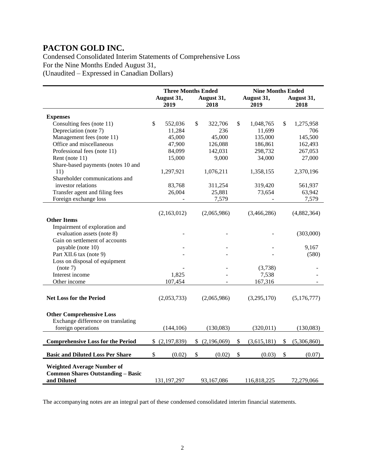Condensed Consolidated Interim Statements of Comprehensive Loss For the Nine Months Ended August 31, (Unaudited – Expressed in Canadian Dollars)

|                                                                       | <b>Three Months Ended</b> |             |    |             |         | <b>Nine Months Ended</b> |    |             |  |  |  |
|-----------------------------------------------------------------------|---------------------------|-------------|----|-------------|---------|--------------------------|----|-------------|--|--|--|
|                                                                       | August 31,                |             |    | August 31,  |         | August 31,               |    | August 31,  |  |  |  |
|                                                                       | 2019                      |             |    | 2018        |         | 2019                     |    | 2018        |  |  |  |
| <b>Expenses</b>                                                       |                           |             |    |             |         |                          |    |             |  |  |  |
| Consulting fees (note 11)                                             | \$                        | 552,036     | \$ | 322,706     | \$      | 1,048,765                | \$ | 1,275,958   |  |  |  |
| Depreciation (note 7)                                                 |                           | 11,284      |    | 236         |         | 11,699                   |    | 706         |  |  |  |
| Management fees (note 11)                                             |                           | 45,000      |    | 45,000      |         | 135,000                  |    | 145,500     |  |  |  |
| Office and miscellaneous                                              |                           | 47,900      |    | 126,088     |         | 186,861                  |    | 162,493     |  |  |  |
| Professional fees (note 11)                                           |                           | 84,099      |    | 142,031     |         | 298,732                  |    | 267,053     |  |  |  |
| Rent (note 11)                                                        |                           | 15,000      |    | 9,000       |         | 34,000                   |    |             |  |  |  |
| Share-based payments (notes 10 and                                    |                           |             |    |             |         |                          |    | 27,000      |  |  |  |
| 11)                                                                   |                           | 1,297,921   |    | 1,076,211   |         |                          |    |             |  |  |  |
| Shareholder communications and                                        |                           |             |    |             |         | 1,358,155                |    | 2,370,196   |  |  |  |
|                                                                       |                           |             |    |             |         |                          |    |             |  |  |  |
| investor relations                                                    |                           | 83,768      |    | 311,254     |         | 319,420                  |    | 561,937     |  |  |  |
| Transfer agent and filing fees                                        |                           | 26,004      |    | 25,881      |         | 73,654                   |    | 63,942      |  |  |  |
| Foreign exchange loss                                                 |                           | $\Box$      |    | 7,579       |         | $\blacksquare$           |    | 7,579       |  |  |  |
|                                                                       |                           |             |    |             |         |                          |    |             |  |  |  |
|                                                                       |                           | (2,163,012) |    | (2,065,986) |         | (3,466,286)              |    | (4,882,364) |  |  |  |
| <b>Other Items</b>                                                    |                           |             |    |             |         |                          |    |             |  |  |  |
| Impairment of exploration and                                         |                           |             |    |             |         |                          |    |             |  |  |  |
| evaluation assets (note 8)                                            |                           |             |    |             |         |                          |    | (303,000)   |  |  |  |
| Gain on settlement of accounts                                        |                           |             |    |             |         |                          |    |             |  |  |  |
| payable (note 10)                                                     |                           |             |    |             |         |                          |    | 9,167       |  |  |  |
| Part XII.6 tax (note 9)                                               |                           |             |    |             |         |                          |    | (580)       |  |  |  |
| Loss on disposal of equipment                                         |                           |             |    |             |         |                          |    |             |  |  |  |
| (note 7)                                                              |                           |             |    |             | (3,738) |                          |    |             |  |  |  |
| Interest income                                                       |                           | 1,825       |    |             | 7,538   |                          |    |             |  |  |  |
| Other income                                                          |                           | 107,454     |    |             |         | 167,316                  |    |             |  |  |  |
|                                                                       |                           |             |    |             |         |                          |    |             |  |  |  |
| <b>Net Loss for the Period</b>                                        |                           | (2,053,733) |    | (2,065,986) |         | (3,295,170)              |    | (5,176,777) |  |  |  |
|                                                                       |                           |             |    |             |         |                          |    |             |  |  |  |
|                                                                       |                           |             |    |             |         |                          |    |             |  |  |  |
| <b>Other Comprehensive Loss</b><br>Exchange difference on translating |                           |             |    |             |         |                          |    |             |  |  |  |
| foreign operations                                                    |                           | (144, 106)  |    |             |         |                          |    |             |  |  |  |
|                                                                       |                           |             |    | (130,083)   |         | (320, 011)               |    | (130,083)   |  |  |  |
| <b>Comprehensive Loss for the Period</b>                              | (2,197,839)               |             |    | (2,196,069) | \$      | (3,615,181)              | \$ | (5,306,860) |  |  |  |
| <b>Basic and Diluted Loss Per Share</b>                               | \$                        | (0.02)      | \$ | (0.02)      | \$      | (0.03)                   | \$ | (0.07)      |  |  |  |
|                                                                       |                           |             |    |             |         |                          |    |             |  |  |  |
| <b>Weighted Average Number of</b>                                     |                           |             |    |             |         |                          |    |             |  |  |  |
| <b>Common Shares Outstanding - Basic</b>                              |                           |             |    |             |         |                          |    |             |  |  |  |
| and Diluted                                                           | 131, 197, 297             |             |    | 93,167,086  |         | 116,818,225              |    | 72,279,066  |  |  |  |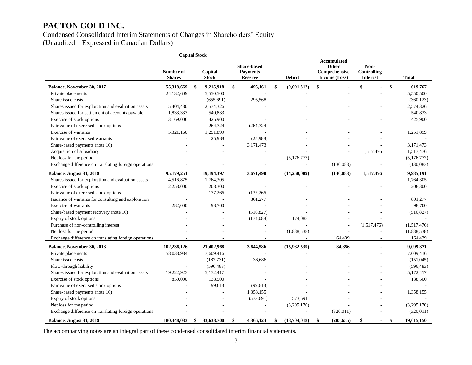### Condensed Consolidated Interim Statements of Changes in Shareholders' Equity

(Unaudited – Expressed in Canadian Dollars)

|                                                       | <b>Capital Stock</b>       |                         |                                                         |                    |                                                               |                                               |    |               |
|-------------------------------------------------------|----------------------------|-------------------------|---------------------------------------------------------|--------------------|---------------------------------------------------------------|-----------------------------------------------|----|---------------|
|                                                       | Number of<br><b>Shares</b> | Capital<br><b>Stock</b> | <b>Share-based</b><br><b>Payments</b><br><b>Reserve</b> | <b>Deficit</b>     | <b>Accumulated</b><br>Other<br>Comprehensive<br>Income (Loss) | Non-<br><b>Controlling</b><br><b>Interest</b> |    | <b>Total</b>  |
| Balance, November 30, 2017                            | 55,318,669                 | \$<br>9,215,918         | \$<br>495,161                                           | \$<br>(9,091,312)  | \$                                                            | \$                                            | \$ | 619,767       |
| Private placements                                    | 24,132,609                 | 5,550,500               |                                                         |                    |                                                               |                                               |    | 5,550,500     |
| Share issue costs                                     |                            | (655, 691)              | 295,568                                                 |                    |                                                               |                                               |    | (360, 123)    |
| Shares issued for exploration and evaluation assets   | 5,404,480                  | 2,574,326               |                                                         |                    |                                                               |                                               |    | 2,574,326     |
| Shares issued for settlement of accounts payable      | 1,833,333                  | 540,833                 |                                                         |                    |                                                               |                                               |    | 540,833       |
| Exercise of stock options                             | 3,169,000                  | 425,900                 |                                                         |                    |                                                               |                                               |    | 425,900       |
| Fair value of exercised stock options                 |                            | 264,724                 | (264, 724)                                              |                    |                                                               |                                               |    |               |
| Exercise of warrants                                  | 5,321,160                  | 1,251,899               |                                                         |                    |                                                               |                                               |    | 1,251,899     |
| Fair value of exercised warrants                      |                            | 25,988                  | (25,988)                                                |                    |                                                               |                                               |    |               |
| Share-based payments (note 10)                        |                            |                         | 3,171,473                                               |                    |                                                               |                                               |    | 3,171,473     |
| Acquisition of subsidiary                             |                            |                         |                                                         |                    |                                                               | 1,517,476                                     |    | 1,517,476     |
| Net loss for the period                               |                            |                         |                                                         | (5,176,777)        |                                                               |                                               |    | (5, 176, 777) |
| Exchange difference on translating foreign operations |                            |                         |                                                         |                    | (130,083)                                                     |                                               |    | (130,083)     |
| Balance, August 31, 2018                              | 95,179,251                 | 19,194,397              | 3,671,490                                               | (14,268,089)       | (130, 083)                                                    | 1,517,476                                     |    | 9,985,191     |
| Shares issued for exploration and evaluation assets   | 4,516,875                  | 1,764,305               |                                                         |                    |                                                               |                                               |    | 1,764,305     |
| Exercise of stock options                             | 2,258,000                  | 208,300                 |                                                         |                    |                                                               |                                               |    | 208,300       |
| Fair value of exercised stock options                 |                            | 137,266                 | (137, 266)                                              |                    |                                                               |                                               |    |               |
| Issuance of warrants for consulting and exploration   |                            |                         | 801,277                                                 |                    |                                                               |                                               |    | 801,277       |
| Exercise of warrants                                  | 282,000                    | 98,700                  |                                                         |                    |                                                               |                                               |    | 98,700        |
| Share-based payment recovery (note 10)                |                            |                         | (516, 827)                                              |                    |                                                               |                                               |    | (516, 827)    |
| Expiry of stock options                               |                            |                         | (174,088)                                               | 174,088            |                                                               |                                               |    |               |
| Purchase of non-controlling interest                  |                            |                         |                                                         |                    |                                                               | (1,517,476)                                   |    | (1,517,476)   |
| Net loss for the period                               |                            |                         |                                                         | (1,888,538)        |                                                               |                                               |    | (1,888,538)   |
| Exchange difference on translating foreign operations |                            |                         |                                                         |                    | 164,439                                                       |                                               |    | 164,439       |
| Balance, November 30, 2018                            | 102,236,126                | 21,402,968              | 3,644,586                                               | (15,982,539)       | 34,356                                                        |                                               |    | 9,099,371     |
| Private placements                                    | 58,038,984                 | 7,609,416               |                                                         |                    |                                                               |                                               |    | 7,609,416     |
| Share issue costs                                     |                            | (187, 731)              | 36,686                                                  |                    |                                                               |                                               |    | (151, 045)    |
| Flow-through liability                                |                            | (596, 483)              |                                                         |                    |                                                               |                                               |    | (596, 483)    |
| Shares issued for exploration and evaluation assets   | 19,222,923                 | 5,172,417               |                                                         |                    |                                                               |                                               |    | 5,172,417     |
| Exercise of stock options                             | 850,000                    | 138,500                 |                                                         |                    |                                                               |                                               |    | 138,500       |
| Fair value of exercised stock options                 |                            | 99,613                  | (99, 613)                                               |                    |                                                               |                                               |    |               |
| Share-based payments (note 10)                        |                            |                         | 1,358,155                                               |                    |                                                               |                                               |    | 1,358,155     |
| Expiry of stock options                               |                            |                         | (573, 691)                                              | 573,691            |                                                               |                                               |    |               |
| Net loss for the period                               |                            |                         |                                                         | (3,295,170)        |                                                               |                                               |    | (3,295,170)   |
| Exchange difference on translating foreign operations |                            |                         |                                                         |                    | (320, 011)                                                    |                                               |    | (320, 011)    |
| Balance, August 31, 2019                              | 180.348.033                | \$<br>33,638,700        | \$<br>4,366,123                                         | \$<br>(18,704,018) | \$<br>(285, 655)                                              | \$                                            | \$ | 19,015,150    |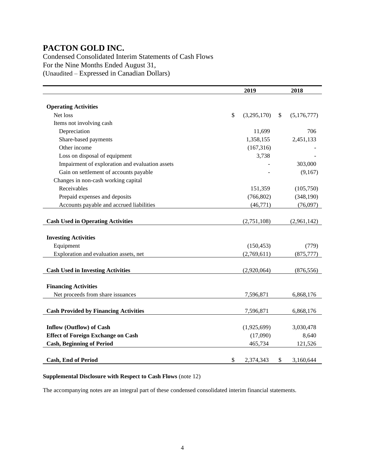Condensed Consolidated Interim Statements of Cash Flows For the Nine Months Ended August 31, (Unaudited – Expressed in Canadian Dollars)

|                                                 | 2019              | 2018              |
|-------------------------------------------------|-------------------|-------------------|
|                                                 |                   |                   |
| <b>Operating Activities</b>                     |                   |                   |
| Net loss                                        | \$<br>(3,295,170) | \$<br>(5,176,777) |
| Items not involving cash                        |                   |                   |
| Depreciation                                    | 11,699            | 706               |
| Share-based payments                            | 1,358,155         | 2,451,133         |
| Other income                                    | (167, 316)        |                   |
| Loss on disposal of equipment                   | 3,738             |                   |
| Impairment of exploration and evaluation assets |                   | 303,000           |
| Gain on settlement of accounts payable          |                   | (9,167)           |
| Changes in non-cash working capital             |                   |                   |
| Receivables                                     | 151,359           | (105,750)         |
| Prepaid expenses and deposits                   | (766, 802)        | (348,190)         |
| Accounts payable and accrued liabilities        | (46, 771)         | (76,097)          |
|                                                 |                   |                   |
| <b>Cash Used in Operating Activities</b>        | (2,751,108)       | (2,961,142)       |
|                                                 |                   |                   |
| <b>Investing Activities</b>                     |                   |                   |
| Equipment                                       | (150, 453)        | (779)             |
| Exploration and evaluation assets, net          | (2,769,611)       | (875, 777)        |
|                                                 |                   |                   |
| <b>Cash Used in Investing Activities</b>        | (2,920,064)       | (876, 556)        |
|                                                 |                   |                   |
| <b>Financing Activities</b>                     |                   |                   |
| Net proceeds from share issuances               | 7,596,871         | 6,868,176         |
|                                                 |                   |                   |
| <b>Cash Provided by Financing Activities</b>    | 7,596,871         | 6,868,176         |
|                                                 |                   |                   |
| <b>Inflow (Outflow) of Cash</b>                 | (1,925,699)       | 3,030,478         |
| <b>Effect of Foreign Exchange on Cash</b>       | (17,090)          | 8,640             |
| <b>Cash, Beginning of Period</b>                | 465,734           | 121,526           |
|                                                 |                   |                   |
| <b>Cash, End of Period</b>                      | \$<br>2.374.343   | \$<br>3,160,644   |

### **Supplemental Disclosure with Respect to Cash Flows** (note 12)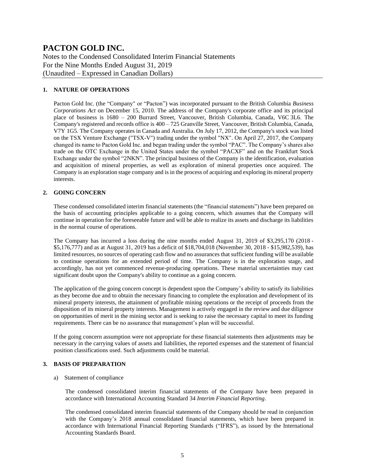Notes to the Condensed Consolidated Interim Financial Statements For the Nine Months Ended August 31, 2019 (Unaudited – Expressed in Canadian Dollars)

### **1. NATURE OF OPERATIONS**

Pacton Gold Inc. (the "Company" or "Pacton") was incorporated pursuant to the British Columbia *Business Corporations Act* on December 15, 2010. The address of the Company's corporate office and its principal place of business is 1680 – 200 Burrard Street, Vancouver, British Columbia, Canada, V6C 3L6. The Company's registered and records office is  $400 - 725$  Granville Street, Vancouver, British Columbia, Canada, V7Y 1G5. The Company operates in Canada and Australia. On July 17, 2012, the Company's stock was listed on the TSX Venture Exchange ("TSX-V") trading under the symbol "NX". On April 27, 2017, the Company changed its name to Pacton Gold Inc. and began trading under the symbol "PAC". The Company's shares also trade on the OTC Exchange in the United States under the symbol "PACXF" and on the Frankfurt Stock Exchange under the symbol "2NKN". The principal business of the Company is the identification, evaluation and acquisition of mineral properties, as well as exploration of mineral properties once acquired. The Company is an exploration stage company and is in the process of acquiring and exploring its mineral property interests.

### **2. GOING CONCERN**

These condensed consolidated interim financial statements (the "financial statements") have been prepared on the basis of accounting principles applicable to a going concern, which assumes that the Company will continue in operation for the foreseeable future and will be able to realize its assets and discharge its liabilities in the normal course of operations.

The Company has incurred a loss during the nine months ended August 31, 2019 of \$3,295,170 (2018 - \$5,176,777) and as at August 31, 2019 has a deficit of \$18,704,018 (November 30, 2018 - \$15,982,539), has limited resources, no sources of operating cash flow and no assurances that sufficient funding will be available to continue operations for an extended period of time. The Company is in the exploration stage, and accordingly, has not yet commenced revenue-producing operations. These material uncertainties may cast significant doubt upon the Company's ability to continue as a going concern.

The application of the going concern concept is dependent upon the Company's ability to satisfy its liabilities as they become due and to obtain the necessary financing to complete the exploration and development of its mineral property interests, the attainment of profitable mining operations or the receipt of proceeds from the disposition of its mineral property interests. Management is actively engaged in the review and due diligence on opportunities of merit in the mining sector and is seeking to raise the necessary capital to meet its funding requirements. There can be no assurance that management's plan will be successful.

If the going concern assumption were not appropriate for these financial statements then adjustments may be necessary in the carrying values of assets and liabilities, the reported expenses and the statement of financial position classifications used. Such adjustments could be material.

### **3. BASIS OF PREPARATION**

### a) Statement of compliance

The condensed consolidated interim financial statements of the Company have been prepared in accordance with International Accounting Standard 34 *Interim Financial Reporting*.

The condensed consolidated interim financial statements of the Company should be read in conjunction with the Company's 2018 annual consolidated financial statements, which have been prepared in accordance with International Financial Reporting Standards ("IFRS"), as issued by the International Accounting Standards Board.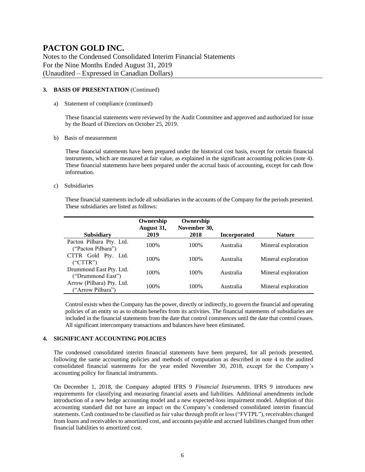Notes to the Condensed Consolidated Interim Financial Statements For the Nine Months Ended August 31, 2019 (Unaudited – Expressed in Canadian Dollars)

#### **3. BASIS OF PRESENTATION** (Continued)

a) Statement of compliance (continued)

These financial statements were reviewed by the Audit Committee and approved and authorized for issue by the Board of Directors on October 25, 2019.

b) Basis of measurement

These financial statements have been prepared under the historical cost basis, except for certain financial instruments, which are measured at fair value, as explained in the significant accounting policies (note 4). These financial statements have been prepared under the accrual basis of accounting, except for cash flow information.

c) Subsidiaries

These financial statements include all subsidiaries in the accounts of the Company for the periods presented. These subsidiaries are listed as follows:

| <b>Subsidiary</b>                              | Ownership<br>August 31,<br>2019 | Ownership<br>November 30,<br>2018 | <b>Incorporated</b> | <b>Nature</b>       |
|------------------------------------------------|---------------------------------|-----------------------------------|---------------------|---------------------|
| Pacton Pilbara Pty. Ltd.<br>("Pacton Pilbara") | 100%                            | 100%                              | Australia           | Mineral exploration |
| CTTR Gold Pty. Ltd.<br>("CTTR")                | 100\%                           | 100%                              | Australia           | Mineral exploration |
| Drummond East Pty. Ltd.<br>("Drummond East")   | 100\%                           | 100\%                             | Australia           | Mineral exploration |
| Arrow (Pilbara) Pty. Ltd.<br>("Arrow Pilbara") | 100%                            | 100%                              | Australia           | Mineral exploration |

Control exists when the Company has the power, directly or indirectly, to govern the financial and operating policies of an entity so as to obtain benefits from its activities. The financial statements of subsidiaries are included in the financial statements from the date that control commences until the date that control ceases. All significant intercompany transactions and balances have been eliminated.

### **4. SIGNIFICANT ACCOUNTING POLICIES**

The condensed consolidated interim financial statements have been prepared, for all periods presented, following the same accounting policies and methods of computation as described in note 4 to the audited consolidated financial statements for the year ended November 30, 2018, except for the Company's accounting policy for financial instruments.

On December 1, 2018, the Company adopted IFRS 9 *Financial Instruments*. IFRS 9 introduces new requirements for classifying and measuring financial assets and liabilities. Additional amendments include introduction of a new hedge accounting model and a new expected-loss impairment model. Adoption of this accounting standard did not have an impact on the Company's condensed consolidated interim financial statements. Cash continued to be classified as fair value through profit or loss ("FVTPL"), receivables changed from loans and receivables to amortized cost, and accounts payable and accrued liabilities changed from other financial liabilities to amortized cost.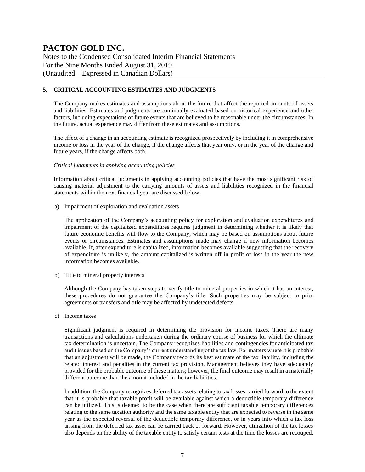Notes to the Condensed Consolidated Interim Financial Statements For the Nine Months Ended August 31, 2019 (Unaudited – Expressed in Canadian Dollars)

### **5. CRITICAL ACCOUNTING ESTIMATES AND JUDGMENTS**

The Company makes estimates and assumptions about the future that affect the reported amounts of assets and liabilities. Estimates and judgments are continually evaluated based on historical experience and other factors, including expectations of future events that are believed to be reasonable under the circumstances. In the future, actual experience may differ from these estimates and assumptions.

The effect of a change in an accounting estimate is recognized prospectively by including it in comprehensive income or loss in the year of the change, if the change affects that year only, or in the year of the change and future years, if the change affects both.

#### *Critical judgments in applying accounting policies*

Information about critical judgments in applying accounting policies that have the most significant risk of causing material adjustment to the carrying amounts of assets and liabilities recognized in the financial statements within the next financial year are discussed below.

a) Impairment of exploration and evaluation assets

The application of the Company's accounting policy for exploration and evaluation expenditures and impairment of the capitalized expenditures requires judgment in determining whether it is likely that future economic benefits will flow to the Company, which may be based on assumptions about future events or circumstances. Estimates and assumptions made may change if new information becomes available. If, after expenditure is capitalized, information becomes available suggesting that the recovery of expenditure is unlikely, the amount capitalized is written off in profit or loss in the year the new information becomes available.

b) Title to mineral property interests

Although the Company has taken steps to verify title to mineral properties in which it has an interest, these procedures do not guarantee the Company's title. Such properties may be subject to prior agreements or transfers and title may be affected by undetected defects.

c) Income taxes

Significant judgment is required in determining the provision for income taxes. There are many transactions and calculations undertaken during the ordinary course of business for which the ultimate tax determination is uncertain. The Company recognizes liabilities and contingencies for anticipated tax audit issues based on the Company's current understanding of the tax law. For matters where it is probable that an adjustment will be made, the Company records its best estimate of the tax liability, including the related interest and penalties in the current tax provision. Management believes they have adequately provided for the probable outcome of these matters; however, the final outcome may result in a materially different outcome than the amount included in the tax liabilities.

In addition, the Company recognizes deferred tax assets relating to tax losses carried forward to the extent that it is probable that taxable profit will be available against which a deductible temporary difference can be utilized. This is deemed to be the case when there are sufficient taxable temporary differences relating to the same taxation authority and the same taxable entity that are expected to reverse in the same year as the expected reversal of the deductible temporary difference, or in years into which a tax loss arising from the deferred tax asset can be carried back or forward. However, utilization of the tax losses also depends on the ability of the taxable entity to satisfy certain tests at the time the losses are recouped.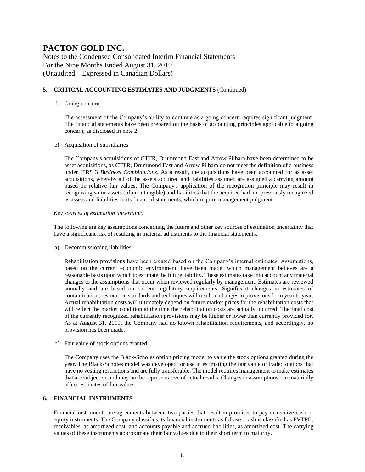Notes to the Condensed Consolidated Interim Financial Statements For the Nine Months Ended August 31, 2019 (Unaudited – Expressed in Canadian Dollars)

### **5. CRITICAL ACCOUNTING ESTIMATES AND JUDGMENTS** (Continued)

#### d) Going concern

The assessment of the Company's ability to continue as a going concern requires significant judgment. The financial statements have been prepared on the basis of accounting principles applicable to a going concern, as disclosed in note 2.

#### e) Acquisition of subsidiaries

The Company's acquisitions of CTTR, Drummond East and Arrow Pilbara have been determined to be asset acquisitions, as CTTR, Drummond East and Arrow Pilbara do not meet the definition of a business under IFRS 3 *Business Combinations*. As a result, the acquisitions have been accounted for as asset acquisitions, whereby all of the assets acquired and liabilities assumed are assigned a carrying amount based on relative fair values. The Company's application of the recognition principle may result in recognizing some assets (often intangible) and liabilities that the acquiree had not previously recognized as assets and liabilities in its financial statements, which require management judgment.

#### *Key sources of estimation uncertainty*

The following are key assumptions concerning the future and other key sources of estimation uncertainty that have a significant risk of resulting in material adjustments to the financial statements.

a) Decommissioning liabilities

Rehabilitation provisions have been created based on the Company's internal estimates. Assumptions, based on the current economic environment, have been made, which management believes are a reasonable basis upon which to estimate the future liability. These estimates take into account any material changes to the assumptions that occur when reviewed regularly by management. Estimates are reviewed annually and are based on current regulatory requirements. Significant changes in estimates of contamination, restoration standards and techniques will result in changes to provisions from year to year. Actual rehabilitation costs will ultimately depend on future market prices for the rehabilitation costs that will reflect the market condition at the time the rehabilitation costs are actually incurred. The final cost of the currently recognized rehabilitation provisions may be higher or lower than currently provided for. As at August 31, 2019, the Company had no known rehabilitation requirements, and accordingly, no provision has been made.

b) Fair value of stock options granted

The Company uses the Black-Scholes option pricing model to value the stock options granted during the year. The Black-Scholes model was developed for use in estimating the fair value of traded options that have no vesting restrictions and are fully transferable. The model requires management to make estimates that are subjective and may not be representative of actual results. Changes in assumptions can materially affect estimates of fair values.

### **6. FINANCIAL INSTRUMENTS**

Financial instruments are agreements between two parties that result in promises to pay or receive cash or equity instruments. The Company classifies its financial instruments as follows: cash is classified as FVTPL; receivables, as amortized cost; and accounts payable and accrued liabilities, as amortized cost. The carrying values of these instruments approximate their fair values due to their short term to maturity.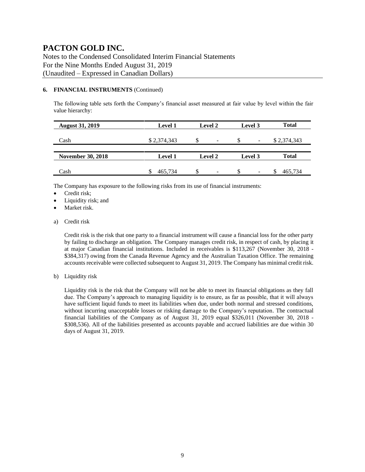Notes to the Condensed Consolidated Interim Financial Statements For the Nine Months Ended August 31, 2019 (Unaudited – Expressed in Canadian Dollars)

### **6. FINANCIAL INSTRUMENTS** (Continued)

The following table sets forth the Company's financial asset measured at fair value by level within the fair value hierarchy:

| <b>August 31, 2019</b>   | <b>Level 1</b> | <b>Level 2</b> | Level 3                       | <b>Total</b> |
|--------------------------|----------------|----------------|-------------------------------|--------------|
| Cash                     | \$2,374,343    | S<br>-         | S<br>$\overline{\phantom{a}}$ | \$2,374,343  |
| <b>November 30, 2018</b> | <b>Level 1</b> | Level 2        | Level 3                       | <b>Total</b> |
| Cash                     | 465.734        | \$<br>-        | S<br>$\overline{\phantom{a}}$ | 465,734      |

The Company has exposure to the following risks from its use of financial instruments:

- Credit risk;
- Liquidity risk; and
- Market risk.
- a) Credit risk

Credit risk is the risk that one party to a financial instrument will cause a financial loss for the other party by failing to discharge an obligation. The Company manages credit risk, in respect of cash, by placing it at major Canadian financial institutions. Included in receivables is \$113,267 (November 30, 2018 - \$384,317) owing from the Canada Revenue Agency and the Australian Taxation Office. The remaining accounts receivable were collected subsequent to August 31, 2019. The Company has minimal credit risk.

b) Liquidity risk

Liquidity risk is the risk that the Company will not be able to meet its financial obligations as they fall due. The Company's approach to managing liquidity is to ensure, as far as possible, that it will always have sufficient liquid funds to meet its liabilities when due, under both normal and stressed conditions, without incurring unacceptable losses or risking damage to the Company's reputation. The contractual financial liabilities of the Company as of August 31, 2019 equal \$326,011 (November 30, 2018 - \$308,536). All of the liabilities presented as accounts payable and accrued liabilities are due within 30 days of August 31, 2019.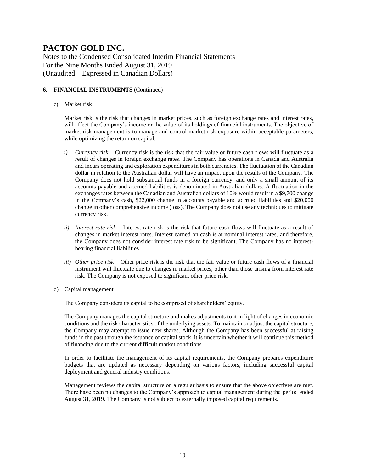Notes to the Condensed Consolidated Interim Financial Statements For the Nine Months Ended August 31, 2019 (Unaudited – Expressed in Canadian Dollars)

### **6. FINANCIAL INSTRUMENTS** (Continued)

c) Market risk

Market risk is the risk that changes in market prices, such as foreign exchange rates and interest rates, will affect the Company's income or the value of its holdings of financial instruments. The objective of market risk management is to manage and control market risk exposure within acceptable parameters, while optimizing the return on capital.

- *i) Currency risk –* Currency risk is the risk that the fair value or future cash flows will fluctuate as a result of changes in foreign exchange rates. The Company has operations in Canada and Australia and incurs operating and exploration expenditures in both currencies. The fluctuation of the Canadian dollar in relation to the Australian dollar will have an impact upon the results of the Company. The Company does not hold substantial funds in a foreign currency, and only a small amount of its accounts payable and accrued liabilities is denominated in Australian dollars. A fluctuation in the exchanges rates between the Canadian and Australian dollars of 10% would result in a \$9,700 change in the Company's cash, \$22,000 change in accounts payable and accrued liabilities and \$20,000 change in other comprehensive income (loss). The Company does not use any techniques to mitigate currency risk.
- *ii) Interest rate risk –* Interest rate risk is the risk that future cash flows will fluctuate as a result of changes in market interest rates. Interest earned on cash is at nominal interest rates, and therefore, the Company does not consider interest rate risk to be significant. The Company has no interestbearing financial liabilities.
- *iii) Other price risk –* Other price risk is the risk that the fair value or future cash flows of a financial instrument will fluctuate due to changes in market prices, other than those arising from interest rate risk. The Company is not exposed to significant other price risk.
- d) Capital management

The Company considers its capital to be comprised of shareholders' equity.

The Company manages the capital structure and makes adjustments to it in light of changes in economic conditions and the risk characteristics of the underlying assets. To maintain or adjust the capital structure, the Company may attempt to issue new shares. Although the Company has been successful at raising funds in the past through the issuance of capital stock, it is uncertain whether it will continue this method of financing due to the current difficult market conditions.

In order to facilitate the management of its capital requirements, the Company prepares expenditure budgets that are updated as necessary depending on various factors, including successful capital deployment and general industry conditions.

Management reviews the capital structure on a regular basis to ensure that the above objectives are met. There have been no changes to the Company's approach to capital management during the period ended August 31, 2019. The Company is not subject to externally imposed capital requirements.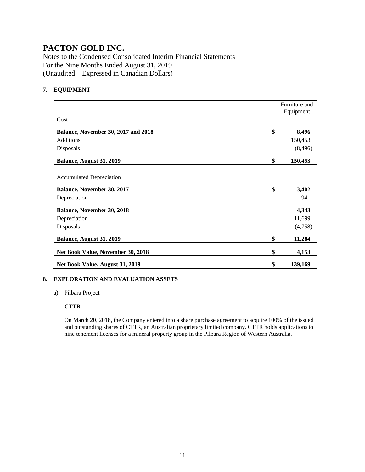Notes to the Condensed Consolidated Interim Financial Statements For the Nine Months Ended August 31, 2019 (Unaudited – Expressed in Canadian Dollars)

### **7. EQUIPMENT**

|                                                                                      | Furniture and<br>Equipment |
|--------------------------------------------------------------------------------------|----------------------------|
| Cost                                                                                 |                            |
| <b>Balance, November 30, 2017 and 2018</b>                                           | \$<br>8,496                |
| <b>Additions</b>                                                                     | 150,453                    |
| Disposals                                                                            | (8, 496)                   |
| Balance, August 31, 2019                                                             | \$<br>150,453              |
| <b>Accumulated Depreciation</b><br><b>Balance, November 30, 2017</b><br>Depreciation | \$<br>3,402<br>941         |
| <b>Balance, November 30, 2018</b>                                                    | 4,343                      |
| Depreciation                                                                         | 11,699                     |
| Disposals                                                                            | (4,758)                    |
| Balance, August 31, 2019                                                             | \$<br>11,284               |
| Net Book Value, November 30, 2018                                                    | \$<br>4,153                |
| Net Book Value, August 31, 2019                                                      | \$<br>139,169              |

### **8. EXPLORATION AND EVALUATION ASSETS**

a) Pilbara Project

### **CTTR**

On March 20, 2018, the Company entered into a share purchase agreement to acquire 100% of the issued and outstanding shares of CTTR, an Australian proprietary limited company. CTTR holds applications to nine tenement licenses for a mineral property group in the Pilbara Region of Western Australia.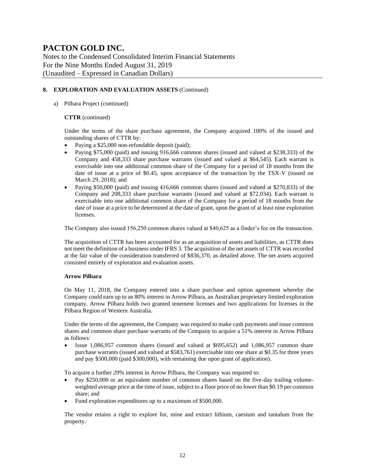Notes to the Condensed Consolidated Interim Financial Statements For the Nine Months Ended August 31, 2019 (Unaudited – Expressed in Canadian Dollars)

### **8. EXPLORATION AND EVALUATION ASSETS** (Continued)

### a) Pilbara Project (continued)

### **CTTR** (continued)

Under the terms of the share purchase agreement, the Company acquired 100% of the issued and outstanding shares of CTTR by:

- Paying a \$25,000 non-refundable deposit (paid);
- Paying \$75,000 (paid) and issuing 916,666 common shares (issued and valued at \$238,333) of the Company and 458,333 share purchase warrants (issued and valued at \$64,545). Each warrant is exercisable into one additional common share of the Company for a period of 18 months from the date of issue at a price of \$0.45, upon acceptance of the transaction by the TSX-V (issued on March 29, 2018); and
- Paying \$50,000 (paid) and issuing 416,666 common shares (issued and valued at \$270,833) of the Company and 208,333 share purchase warrants (issued and valued at \$72,034). Each warrant is exercisable into one additional common share of the Company for a period of 18 months from the date of issue at a price to be determined at the date of grant, upon the grant of at least nine exploration licenses.

The Company also issued 156,250 common shares valued at \$40,625 as a finder's fee on the transaction.

The acquisition of CTTR has been accounted for as an acquisition of assets and liabilities, as CTTR does not meet the definition of a business under IFRS 3. The acquisition of the net assets of CTTR wasrecorded at the fair value of the consideration transferred of \$836,370, as detailed above. The net assets acquired consisted entirely of exploration and evaluation assets.

### **Arrow Pilbara**

On May 11, 2018, the Company entered into a share purchase and option agreement whereby the Company could earn up to an 80% interest in Arrow Pilbara, an Australian proprietary limited exploration company. Arrow Pilbara holds two granted tenement licenses and two applications for licenses in the Pilbara Region of Western Australia.

Under the terms of the agreement, the Company was required to make cash payments and issue common shares and common share purchase warrants of the Company to acquire a 51% interest in Arrow Pilbara as follows:

• Issue 1,086,957 common shares (issued and valued at \$695,652) and 1,086,957 common share purchase warrants (issued and valued at \$583,761) exercisable into one share at \$0.35 for three years and pay \$500,000 (paid \$300,000), with remaining due upon grant of application).

To acquire a further 29% interest in Arrow Pilbara, the Company was required to:

- Pay \$250,000 or an equivalent number of common shares based on the five-day trailing volumeweighted average price at the time of issue, subject to a floor price of no lower than \$0.19 per common share; and
- Fund exploration expenditures up to a maximum of \$500,000.

The vendor retains a right to explore for, mine and extract lithium, caesium and tantalum from the property.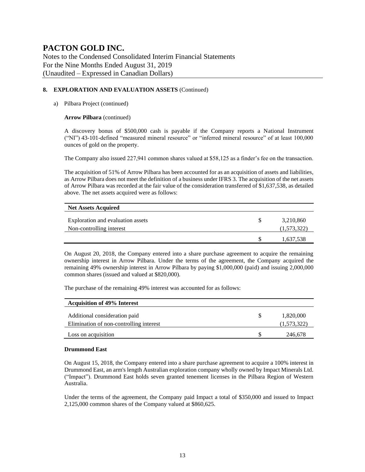Notes to the Condensed Consolidated Interim Financial Statements For the Nine Months Ended August 31, 2019 (Unaudited – Expressed in Canadian Dollars)

### **8. EXPLORATION AND EVALUATION ASSETS** (Continued)

### a) Pilbara Project (continued)

### **Arrow Pilbara** (continued)

A discovery bonus of \$500,000 cash is payable if the Company reports a National Instrument ("NI") 43-101-defined "measured mineral resource" or "inferred mineral resource" of at least 100,000 ounces of gold on the property.

The Company also issued 227,941 common shares valued at \$58,125 as a finder's fee on the transaction.

The acquisition of 51% of Arrow Pilbara has been accounted for as an acquisition of assets and liabilities, as Arrow Pilbara does not meet the definition of a business under IFRS 3. The acquisition of the net assets of Arrow Pilbara was recorded at the fair value of the consideration transferred of \$1,637,538, as detailed above. The net assets acquired were as follows:

| <b>Net Assets Acquired</b>        |             |
|-----------------------------------|-------------|
| Exploration and evaluation assets | 3,210,860   |
| Non-controlling interest          | (1,573,322) |
|                                   | 1,637,538   |

On August 20, 2018, the Company entered into a share purchase agreement to acquire the remaining ownership interest in Arrow Pilbara. Under the terms of the agreement, the Company acquired the remaining 49% ownership interest in Arrow Pilbara by paying \$1,000,000 (paid) and issuing 2,000,000 common shares (issued and valued at \$820,000).

The purchase of the remaining 49% interest was accounted for as follows:

| <b>Acquisition of 49% Interest</b>                                       |                          |
|--------------------------------------------------------------------------|--------------------------|
| Additional consideration paid<br>Elimination of non-controlling interest | 1,820,000<br>(1,573,322) |
| Loss on acquisition                                                      | 246,678                  |

#### **Drummond East**

On August 15, 2018, the Company entered into a share purchase agreement to acquire a 100% interest in Drummond East, an arm's length Australian exploration company wholly owned by Impact Minerals Ltd. ("Impact"). Drummond East holds seven granted tenement licenses in the Pilbara Region of Western Australia.

Under the terms of the agreement, the Company paid Impact a total of \$350,000 and issued to Impact 2,125,000 common shares of the Company valued at \$860,625.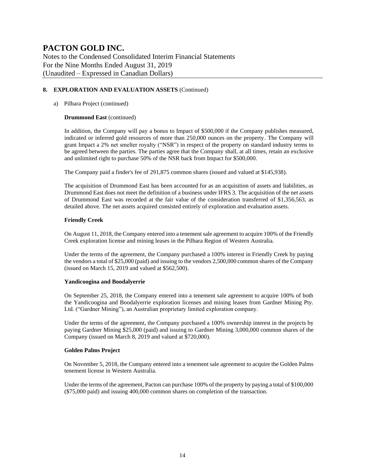Notes to the Condensed Consolidated Interim Financial Statements For the Nine Months Ended August 31, 2019 (Unaudited – Expressed in Canadian Dollars)

### **8. EXPLORATION AND EVALUATION ASSETS** (Continued)

### a) Pilbara Project (continued)

### **Drummond East** (continued)

In addition, the Company will pay a bonus to Impact of \$500,000 if the Company publishes measured, indicated or inferred gold resources of more than 250,000 ounces on the property. The Company will grant Impact a 2% net smelter royalty ("NSR") in respect of the property on standard industry terms to be agreed between the parties. The parties agree that the Company shall, at all times, retain an exclusive and unlimited right to purchase 50% of the NSR back from Impact for \$500,000.

The Company paid a finder's fee of 291,875 common shares (issued and valued at \$145,938).

The acquisition of Drummond East has been accounted for as an acquisition of assets and liabilities, as Drummond East does not meet the definition of a business under IFRS 3. The acquisition of the net assets of Drummond East was recorded at the fair value of the consideration transferred of \$1,356,563, as detailed above. The net assets acquired consisted entirely of exploration and evaluation assets.

### **Friendly Creek**

On August 11, 2018, the Company entered into a tenement sale agreement to acquire 100% of the Friendly Creek exploration license and mining leases in the Pilbara Region of Western Australia.

Under the terms of the agreement, the Company purchased a 100% interest in Friendly Creek by paying the vendors a total of \$25,000 (paid) and issuing to the vendors 2,500,000 common shares of the Company (issued on March 15, 2019 and valued at \$562,500).

### **Yandicoogina and Boodalyerrie**

On September 25, 2018, the Company entered into a tenement sale agreement to acquire 100% of both the Yandicoogina and Boodalyerrie exploration licenses and mining leases from Gardner Mining Pty. Ltd. ("Gardner Mining"), an Australian proprietary limited exploration company.

Under the terms of the agreement, the Company purchased a 100% ownership interest in the projects by paying Gardner Mining \$25,000 (paid) and issuing to Gardner Mining 3,000,000 common shares of the Company (issued on March 8, 2019 and valued at \$720,000).

### **Golden Palms Project**

On November 5, 2018, the Company entered into a tenement sale agreement to acquire the Golden Palms tenement license in Western Australia.

Under the terms of the agreement, Pacton can purchase 100% of the property by paying a total of \$100,000 (\$75,000 paid) and issuing 400,000 common shares on completion of the transaction.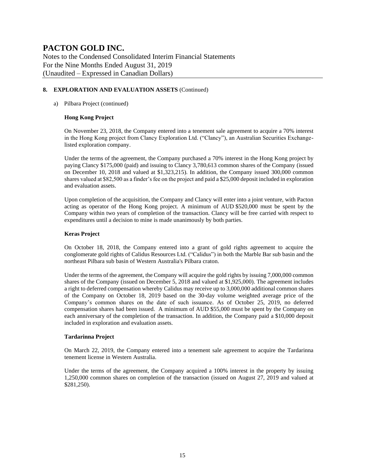Notes to the Condensed Consolidated Interim Financial Statements For the Nine Months Ended August 31, 2019 (Unaudited – Expressed in Canadian Dollars)

### **8. EXPLORATION AND EVALUATION ASSETS** (Continued)

### a) Pilbara Project (continued)

### **Hong Kong Project**

On November 23, 2018, the Company entered into a tenement sale agreement to acquire a 70% interest in the Hong Kong project from Clancy Exploration Ltd. ("Clancy"), an Australian Securities Exchangelisted exploration company.

Under the terms of the agreement, the Company purchased a 70% interest in the Hong Kong project by paying Clancy \$175,000 (paid) and issuing to Clancy 3,780,613 common shares of the Company (issued on December 10, 2018 and valued at \$1,323,215). In addition, the Company issued 300,000 common shares valued at \$82,500 as a finder's fee on the project and paid a \$25,000 deposit included in exploration and evaluation assets.

Upon completion of the acquisition, the Company and Clancy will enter into a joint venture, with Pacton acting as operator of the Hong Kong project. A minimum of AUD \$520,000 must be spent by the Company within two years of completion of the transaction. Clancy will be free carried with respect to expenditures until a decision to mine is made unanimously by both parties.

### **Keras Project**

On October 18, 2018, the Company entered into a grant of gold rights agreement to acquire the conglomerate gold rights of Calidus Resources Ltd. ("Calidus") in both the Marble Bar sub basin and the northeast Pilbara sub basin of Western Australia's Pilbara craton.

Under the terms of the agreement, the Company will acquire the gold rights by issuing 7,000,000 common shares of the Company (issued on December 5, 2018 and valued at \$1,925,000). The agreement includes a right to deferred compensation whereby Calidus may receive up to 3,000,000 additional common shares of the Company on October 18, 2019 based on the 30-day volume weighted average price of the Company's common shares on the date of such issuance. As of October 25, 2019, no deferred compensation shares had been issued. A minimum of AUD \$55,000 must be spent by the Company on each anniversary of the completion of the transaction. In addition, the Company paid a \$10,000 deposit included in exploration and evaluation assets.

### **Tardarinna Project**

On March 22, 2019, the Company entered into a tenement sale agreement to acquire the Tardarinna tenement license in Western Australia.

Under the terms of the agreement, the Company acquired a 100% interest in the property by issuing 1,250,000 common shares on completion of the transaction (issued on August 27, 2019 and valued at \$281,250).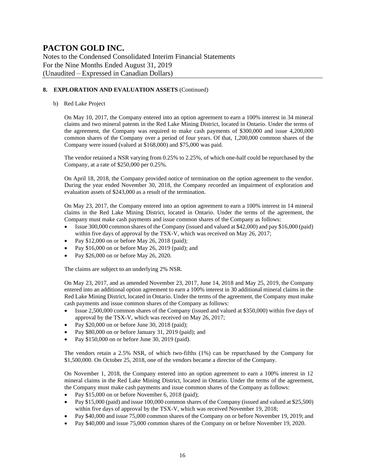Notes to the Condensed Consolidated Interim Financial Statements For the Nine Months Ended August 31, 2019 (Unaudited – Expressed in Canadian Dollars)

### **8. EXPLORATION AND EVALUATION ASSETS** (Continued)

### b) Red Lake Project

On May 10, 2017, the Company entered into an option agreement to earn a 100% interest in 34 mineral claims and two mineral patents in the Red Lake Mining District, located in Ontario. Under the terms of the agreement, the Company was required to make cash payments of \$300,000 and issue 4,200,000 common shares of the Company over a period of four years. Of that, 1,200,000 common shares of the Company were issued (valued at \$168,000) and \$75,000 was paid.

The vendor retained a NSR varying from 0.25% to 2.25%, of which one-half could be repurchased by the Company, at a rate of \$250,000 per 0.25%.

On April 18, 2018, the Company provided notice of termination on the option agreement to the vendor. During the year ended November 30, 2018, the Company recorded an impairment of exploration and evaluation assets of \$243,000 as a result of the termination.

On May 23, 2017, the Company entered into an option agreement to earn a 100% interest in 14 mineral claims in the Red Lake Mining District, located in Ontario. Under the terms of the agreement, the Company must make cash payments and issue common shares of the Company as follows:

- Issue 300,000 common shares of the Company (issued and valued at \$42,000) and pay \$16,000 (paid) within five days of approval by the TSX-V, which was received on May 26, 2017;
- Pay \$12,000 on or before May 26, 2018 (paid);
- Pay \$16,000 on or before May 26, 2019 (paid); and
- Pay \$26,000 on or before May 26, 2020.

The claims are subject to an underlying 2% NSR.

On May 23, 2017, and as amended November 23, 2017, June 14, 2018 and May 25, 2019, the Company entered into an additional option agreement to earn a 100% interest in 30 additional mineral claims in the Red Lake Mining District, located in Ontario. Under the terms of the agreement, the Company must make cash payments and issue common shares of the Company as follows:

- Issue 2,500,000 common shares of the Company (issued and valued at \$350,000) within five days of approval by the TSX-V, which was received on May 26, 2017;
- Pay \$20,000 on or before June 30, 2018 (paid);
- Pay \$80,000 on or before January 31, 2019 (paid); and
- Pay \$150,000 on or before June 30, 2019 (paid).

The vendors retain a 2.5% NSR, of which two-fifths (1%) can be repurchased by the Company for \$1,500,000. On October 25, 2018, one of the vendors became a director of the Company.

On November 1, 2018, the Company entered into an option agreement to earn a 100% interest in 12 mineral claims in the Red Lake Mining District, located in Ontario. Under the terms of the agreement, the Company must make cash payments and issue common shares of the Company as follows:

- Pay \$15,000 on or before November 6, 2018 (paid);
- Pay \$15,000 (paid) and issue 100,000 common shares of the Company (issued and valued at \$25,500) within five days of approval by the TSX-V, which was received November 19, 2018;
- Pay \$40,000 and issue 75,000 common shares of the Company on or before November 19, 2019; and
- Pay \$40,000 and issue 75,000 common shares of the Company on or before November 19, 2020.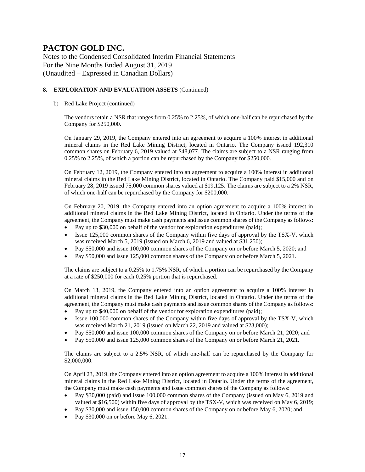Notes to the Condensed Consolidated Interim Financial Statements For the Nine Months Ended August 31, 2019 (Unaudited – Expressed in Canadian Dollars)

### **8. EXPLORATION AND EVALUATION ASSETS** (Continued)

### b) Red Lake Project (continued)

The vendors retain a NSR that ranges from 0.25% to 2.25%, of which one-half can be repurchased by the Company for \$250,000.

On January 29, 2019, the Company entered into an agreement to acquire a 100% interest in additional mineral claims in the Red Lake Mining District, located in Ontario. The Company issued 192,310 common shares on February 6, 2019 valued at \$48,077. The claims are subject to a NSR ranging from 0.25% to 2.25%, of which a portion can be repurchased by the Company for \$250,000.

On February 12, 2019, the Company entered into an agreement to acquire a 100% interest in additional mineral claims in the Red Lake Mining District, located in Ontario. The Company paid \$15,000 and on February 28, 2019 issued 75,000 common shares valued at \$19,125. The claims are subject to a 2% NSR, of which one-half can be repurchased by the Company for \$200,000.

On February 20, 2019, the Company entered into an option agreement to acquire a 100% interest in additional mineral claims in the Red Lake Mining District, located in Ontario. Under the terms of the agreement, the Company must make cash payments and issue common shares of the Company as follows:

- Pay up to \$30,000 on behalf of the vendor for exploration expenditures (paid);
- Issue 125,000 common shares of the Company within five days of approval by the TSX-V, which was received March 5, 2019 (issued on March 6, 2019 and valued at \$31,250);
- Pay \$50,000 and issue 100,000 common shares of the Company on or before March 5, 2020; and
- Pay \$50,000 and issue 125,000 common shares of the Company on or before March 5, 2021.

The claims are subject to a 0.25% to 1.75% NSR, of which a portion can be repurchased by the Company at a rate of \$250,000 for each 0.25% portion that is repurchased.

On March 13, 2019, the Company entered into an option agreement to acquire a 100% interest in additional mineral claims in the Red Lake Mining District, located in Ontario. Under the terms of the agreement, the Company must make cash payments and issue common shares of the Company as follows:

- Pay up to \$40,000 on behalf of the vendor for exploration expenditures (paid);
- Issue 100,000 common shares of the Company within five days of approval by the TSX-V, which was received March 21, 2019 (issued on March 22, 2019 and valued at \$23,000);
- Pay \$50,000 and issue 100,000 common shares of the Company on or before March 21, 2020; and
- Pay \$50,000 and issue 125,000 common shares of the Company on or before March 21, 2021.

The claims are subject to a 2.5% NSR, of which one-half can be repurchased by the Company for \$2,000,000.

On April 23, 2019, the Company entered into an option agreement to acquire a 100% interest in additional mineral claims in the Red Lake Mining District, located in Ontario. Under the terms of the agreement, the Company must make cash payments and issue common shares of the Company as follows:

- Pay \$30,000 (paid) and issue 100,000 common shares of the Company (issued on May 6, 2019 and valued at \$16,500) within five days of approval by the TSX-V, which was received on May 6, 2019;
- Pay \$30,000 and issue 150,000 common shares of the Company on or before May 6, 2020; and
- Pay \$30,000 on or before May 6, 2021.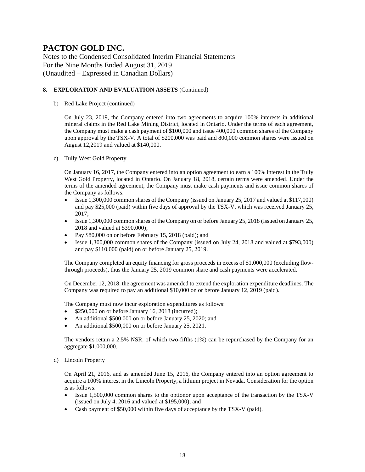Notes to the Condensed Consolidated Interim Financial Statements For the Nine Months Ended August 31, 2019 (Unaudited – Expressed in Canadian Dollars)

### **8. EXPLORATION AND EVALUATION ASSETS** (Continued)

b) Red Lake Project (continued)

On July 23, 2019, the Company entered into two agreements to acquire 100% interests in additional mineral claims in the Red Lake Mining District, located in Ontario. Under the terms of each agreement, the Company must make a cash payment of \$100,000 and issue 400,000 common shares of the Company upon approval by the TSX-V. A total of \$200,000 was paid and 800,000 common shares were issued on August 12,2019 and valued at \$140,000.

c) Tully West Gold Property

On January 16, 2017, the Company entered into an option agreement to earn a 100% interest in the Tully West Gold Property, located in Ontario. On January 18, 2018, certain terms were amended. Under the terms of the amended agreement, the Company must make cash payments and issue common shares of the Company as follows:

- Issue 1,300,000 common shares of the Company (issued on January 25, 2017 and valued at \$117,000) and pay \$25,000 (paid) within five days of approval by the TSX-V, which was received January 25, 2017;
- Issue 1,300,000 common shares of the Company on or before January 25, 2018 (issued on January 25, 2018 and valued at \$390,000);
- Pay \$80,000 on or before February 15, 2018 (paid); and
- Issue 1,300,000 common shares of the Company (issued on July 24, 2018 and valued at \$793,000) and pay \$110,000 (paid) on or before January 25, 2019.

The Company completed an equity financing for gross proceeds in excess of \$1,000,000 (excluding flowthrough proceeds), thus the January 25, 2019 common share and cash payments were accelerated.

On December 12, 2018, the agreement was amended to extend the exploration expenditure deadlines. The Company was required to pay an additional \$10,000 on or before January 12, 2019 (paid).

The Company must now incur exploration expenditures as follows:

- \$250,000 on or before January 16, 2018 (incurred);
- An additional \$500,000 on or before January 25, 2020; and
- An additional \$500,000 on or before January 25, 2021.

The vendors retain a 2.5% NSR, of which two-fifths (1%) can be repurchased by the Company for an aggregate \$1,000,000.

d) Lincoln Property

On April 21, 2016, and as amended June 15, 2016, the Company entered into an option agreement to acquire a 100% interest in the Lincoln Property, a lithium project in Nevada. Consideration for the option is as follows:

- Issue 1,500,000 common shares to the optionor upon acceptance of the transaction by the TSX-V (issued on July 4, 2016 and valued at \$195,000); and
- Cash payment of \$50,000 within five days of acceptance by the TSX-V (paid).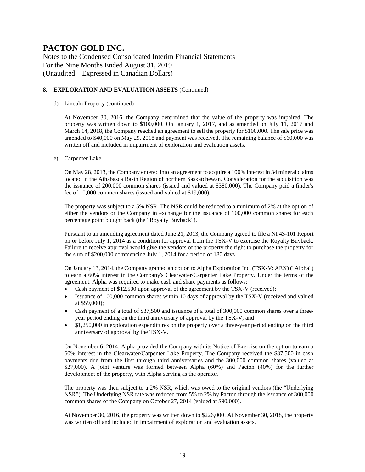Notes to the Condensed Consolidated Interim Financial Statements For the Nine Months Ended August 31, 2019 (Unaudited – Expressed in Canadian Dollars)

### **8. EXPLORATION AND EVALUATION ASSETS** (Continued)

### d) Lincoln Property (continued)

At November 30, 2016, the Company determined that the value of the property was impaired. The property was written down to \$100,000. On January 1, 2017, and as amended on July 11, 2017 and March 14, 2018, the Company reached an agreement to sell the property for \$100,000. The sale price was amended to \$40,000 on May 29, 2018 and payment was received. The remaining balance of \$60,000 was written off and included in impairment of exploration and evaluation assets.

#### e) Carpenter Lake

On May 28, 2013, the Company entered into an agreement to acquire a 100% interest in 34 mineral claims located in the Athabasca Basin Region of northern Saskatchewan. Consideration for the acquisition was the issuance of 200,000 common shares (issued and valued at \$380,000). The Company paid a finder's fee of 10,000 common shares (issued and valued at \$19,000).

The property was subject to a 5% NSR. The NSR could be reduced to a minimum of 2% at the option of either the vendors or the Company in exchange for the issuance of 100,000 common shares for each percentage point bought back (the "Royalty Buyback").

Pursuant to an amending agreement dated June 21, 2013, the Company agreed to file a NI 43-101 Report on or before July 1, 2014 as a condition for approval from the TSX-V to exercise the Royalty Buyback. Failure to receive approval would give the vendors of the property the right to purchase the property for the sum of \$200,000 commencing July 1, 2014 for a period of 180 days.

On January 13, 2014, the Company granted an option to Alpha Exploration Inc. (TSX-V: AEX) ("Alpha") to earn a 60% interest in the Company's Clearwater/Carpenter Lake Property. Under the terms of the agreement, Alpha was required to make cash and share payments as follows:

- Cash payment of \$12,500 upon approval of the agreement by the TSX-V (received);
- Issuance of 100,000 common shares within 10 days of approval by the TSX-V (received and valued at \$59,000);
- Cash payment of a total of \$37,500 and issuance of a total of 300,000 common shares over a threeyear period ending on the third anniversary of approval by the TSX-V; and
- \$1,250,000 in exploration expenditures on the property over a three-year period ending on the third anniversary of approval by the TSX-V.

On November 6, 2014, Alpha provided the Company with its Notice of Exercise on the option to earn a 60% interest in the Clearwater/Carpenter Lake Property. The Company received the \$37,500 in cash payments due from the first through third anniversaries and the 300,000 common shares (valued at \$27,000). A joint venture was formed between Alpha (60%) and Pacton (40%) for the further development of the property, with Alpha serving as the operator.

The property was then subject to a 2% NSR, which was owed to the original vendors (the "Underlying NSR"). The Underlying NSR rate was reduced from 5% to 2% by Pacton through the issuance of 300,000 common shares of the Company on October 27, 2014 (valued at \$90,000).

At November 30, 2016, the property was written down to \$226,000. At November 30, 2018, the property was written off and included in impairment of exploration and evaluation assets.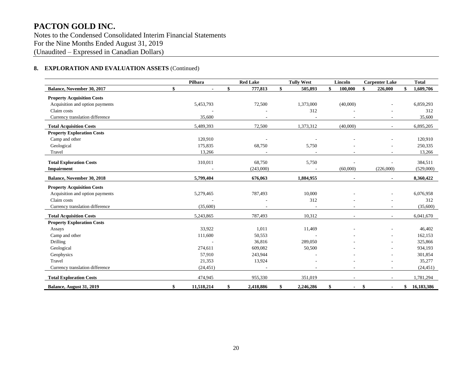Notes to the Condensed Consolidated Interim Financial Statements For the Nine Months Ended August 31, 2019 (Unaudited – Expressed in Canadian Dollars)

### **8. EXPLORATION AND EVALUATION ASSETS** (Continued)

|                                   | Pilbara              | <b>Red Lake</b> | <b>Tully West</b> | Lincoln       | <b>Carpenter Lake</b>    | <b>Total</b>     |
|-----------------------------------|----------------------|-----------------|-------------------|---------------|--------------------------|------------------|
| Balance, November 30, 2017        | \$<br>$\blacksquare$ | \$<br>777,813   | \$<br>505,893     | \$<br>100,000 | \$<br>226,000            | \$<br>1,609,706  |
| <b>Property Acquisition Costs</b> |                      |                 |                   |               |                          |                  |
| Acquisition and option payments   | 5,453,793            | 72,500          | 1,373,000         | (40,000)      |                          | 6,859,293        |
| Claim costs                       |                      |                 | 312               |               |                          | 312              |
| Currency translation difference   | 35,600               |                 |                   |               |                          | 35,600           |
| <b>Total Acquisition Costs</b>    | 5,489,393            | 72,500          | 1,373,312         | (40,000)      | $\sim$                   | 6,895,205        |
| <b>Property Exploration Costs</b> |                      |                 |                   |               |                          |                  |
| Camp and other                    | 120,910              |                 |                   |               |                          | 120,910          |
| Geological                        | 175,835              | 68,750          | 5,750             |               |                          | 250,335          |
| Travel                            | 13,266               |                 |                   |               | $\overline{\phantom{a}}$ | 13,266           |
| <b>Total Exploration Costs</b>    | 310,011              | 68,750          | 5,750             |               |                          | 384,511          |
| Impairment                        |                      | (243,000)       |                   | (60,000)      | (226,000)                | (529,000)        |
| <b>Balance, November 30, 2018</b> | 5,799,404            | 676,063         | 1,884,955         |               | $\blacksquare$           | 8,360,422        |
| <b>Property Acquisition Costs</b> |                      |                 |                   |               |                          |                  |
| Acquisition and option payments   | 5,279,465            | 787,493         | 10,000            |               |                          | 6,076,958        |
| Claim costs                       |                      |                 | 312               |               |                          | 312              |
| Currency translation difference   | (35,600)             |                 |                   |               |                          | (35,600)         |
| <b>Total Acquisition Costs</b>    | 5,243,865            | 787,493         | 10,312            |               | $\sim$                   | 6,041,670        |
| <b>Property Exploration Costs</b> |                      |                 |                   |               |                          |                  |
| Assays                            | 33,922               | 1,011           | 11,469            |               |                          | 46,402           |
| Camp and other                    | 111,600              | 50,553          |                   |               |                          | 162,153          |
| <b>Drilling</b>                   |                      | 36,816          | 289,050           |               |                          | 325,866          |
| Geological                        | 274,611              | 609,082         | 50,500            |               |                          | 934,193          |
| Geophysics                        | 57,910               | 243,944         |                   |               |                          | 301,854          |
| Travel                            | 21,353               | 13,924          |                   |               |                          | 35,277           |
| Currency translation difference   | (24, 451)            |                 |                   |               |                          | (24, 451)        |
| <b>Total Exploration Costs</b>    | 474,945              | 955,330         | 351,019           |               |                          | 1,781,294        |
| Balance, August 31, 2019          | \$<br>11,518,214     | \$<br>2,418,886 | \$<br>2,246,286   | \$            | \$                       | \$<br>16,183,386 |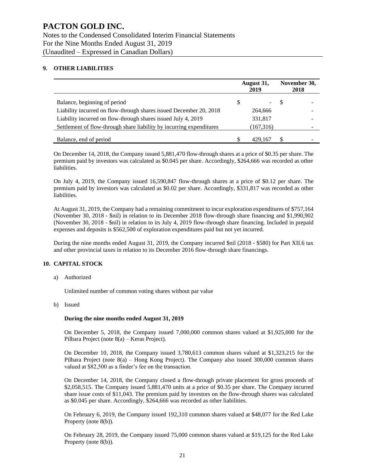### **9. OTHER LIABILITIES**

|                                                                      |   | August 31,<br>2019 |    | November 30,<br>2018 |
|----------------------------------------------------------------------|---|--------------------|----|----------------------|
| Balance, beginning of period                                         | S | $\sim$ $-$         | -S | -                    |
| Liability incurred on flow-through shares issued December 20, 2018   |   | 264,666            |    |                      |
| Liability incurred on flow-through shares issued July 4, 2019        |   | 331,817            |    |                      |
| Settlement of flow-through share liability by incurring expenditures |   | (167,316)          |    |                      |
| Balance, end of period                                               |   | 429,167            |    |                      |

On December 14, 2018, the Company issued 5,881,470 flow-through shares at a price of \$0.35 per share. The premium paid by investors was calculated as \$0.045 per share. Accordingly, \$264,666 was recorded as other liabilities.

On July 4, 2019, the Company issued 16,590,847 flow-through shares at a price of \$0.12 per share. The premium paid by investors was calculated as \$0.02 per share. Accordingly, \$331,817 was recorded as other liabilities.

At August 31, 2019, the Company had a remaining commitment to incur exploration expenditures of \$757,164 (November 30, 2018 - \$nil) in relation to its December 2018 flow-through share financing and \$1,990,902 (November 30, 2018 - \$nil) in relation to its July 4, 2019 flow-through share financing. Included in prepaid expenses and deposits is \$562,500 of exploration expenditures paid but not yet incurred.

During the nine months ended August 31, 2019, the Company incurred \$nil (2018 - \$580) for Part XII.6 tax and other provincial taxes in relation to its December 2016 flow-through share financings.

### **10. CAPITAL STOCK**

a) Authorized

Unlimited number of common voting shares without par value

b) Issued

#### **During the nine months ended August 31, 2019**

On December 5, 2018, the Company issued 7,000,000 common shares valued at \$1,925,000 for the Pilbara Project (note 8(a) – Keras Project).

On December 10, 2018, the Company issued 3,780,613 common shares valued at \$1,323,215 for the Pilbara Project (note 8(a) – Hong Kong Project). The Company also issued 300,000 common shares valued at \$82,500 as a finder's fee on the transaction.

On December 14, 2018, the Company closed a flow-through private placement for gross proceeds of \$2,058,515. The Company issued 5,881,470 units at a price of \$0.35 per share. The Company incurred share issue costs of \$11,043. The premium paid by investors on the flow-through shares was calculated as \$0.045 per share. Accordingly, \$264,666 was recorded as other liabilities.

On February 6, 2019, the Company issued 192,310 common shares valued at \$48,077 for the Red Lake Property (note 8(b)).

On February 28, 2019, the Company issued 75,000 common shares valued at \$19,125 for the Red Lake Property (note 8(b)).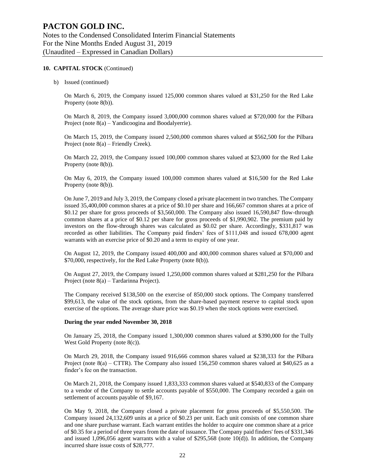#### **10. CAPITAL STOCK** (Continued)

b) Issued (continued)

On March 6, 2019, the Company issued 125,000 common shares valued at \$31,250 for the Red Lake Property (note 8(b)).

On March 8, 2019, the Company issued 3,000,000 common shares valued at \$720,000 for the Pilbara Project (note 8(a) – Yandicoogina and Boodalyerrie).

On March 15, 2019, the Company issued 2,500,000 common shares valued at \$562,500 for the Pilbara Project (note 8(a) – Friendly Creek).

On March 22, 2019, the Company issued 100,000 common shares valued at \$23,000 for the Red Lake Property (note 8(b)).

On May 6, 2019, the Company issued 100,000 common shares valued at \$16,500 for the Red Lake Property (note 8(b)).

On June 7, 2019 and July 3, 2019, the Company closed a private placement in two tranches. The Company issued 35,400,000 common shares at a price of \$0.10 per share and 166,667 common shares at a price of \$0.12 per share for gross proceeds of \$3,560,000. The Company also issued 16,590,847 flow-through common shares at a price of \$0.12 per share for gross proceeds of \$1,990,902. The premium paid by investors on the flow-through shares was calculated as \$0.02 per share. Accordingly, \$331,817 was recorded as other liabilities. The Company paid finders' fees of \$111,048 and issued 678,000 agent warrants with an exercise price of \$0.20 and a term to expiry of one year.

On August 12, 2019, the Company issued 400,000 and 400,000 common shares valued at \$70,000 and \$70,000, respectively, for the Red Lake Property (note 8(b)).

On August 27, 2019, the Company issued 1,250,000 common shares valued at \$281,250 for the Pilbara Project (note 8(a) – Tardarinna Project).

The Company received \$138,500 on the exercise of 850,000 stock options. The Company transferred \$99,613, the value of the stock options, from the share-based payment reserve to capital stock upon exercise of the options. The average share price was \$0.19 when the stock options were exercised.

#### **During the year ended November 30, 2018**

On January 25, 2018, the Company issued 1,300,000 common shares valued at \$390,000 for the Tully West Gold Property (note 8(c)).

On March 29, 2018, the Company issued 916,666 common shares valued at \$238,333 for the Pilbara Project (note 8(a) – CTTR). The Company also issued 156,250 common shares valued at \$40,625 as a finder's fee on the transaction.

On March 21, 2018, the Company issued 1,833,333 common shares valued at \$540,833 of the Company to a vendor of the Company to settle accounts payable of \$550,000. The Company recorded a gain on settlement of accounts payable of \$9,167.

On May 9, 2018, the Company closed a private placement for gross proceeds of \$5,550,500. The Company issued 24,132,609 units at a price of \$0.23 per unit. Each unit consists of one common share and one share purchase warrant. Each warrant entitles the holder to acquire one common share at a price of \$0.35 for a period of three years from the date of issuance. The Company paid finders' fees of \$331,346 and issued 1,096,056 agent warrants with a value of \$295,568 (note 10(d)). In addition, the Company incurred share issue costs of \$28,777.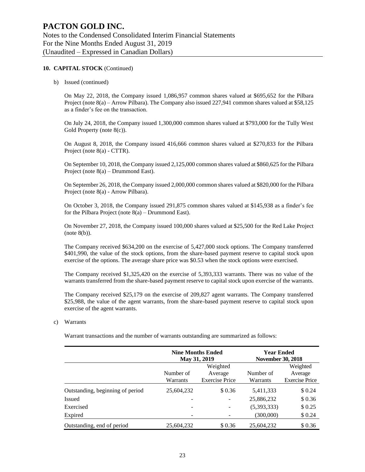#### **10. CAPITAL STOCK** (Continued)

b) Issued (continued)

On May 22, 2018, the Company issued 1,086,957 common shares valued at \$695,652 for the Pilbara Project (note 8(a) – Arrow Pilbara). The Company also issued 227,941 common shares valued at \$58,125 as a finder's fee on the transaction.

On July 24, 2018, the Company issued 1,300,000 common shares valued at \$793,000 for the Tully West Gold Property (note 8(c)).

On August 8, 2018, the Company issued 416,666 common shares valued at \$270,833 for the Pilbara Project (note 8(a) - CTTR).

On September 10, 2018, the Company issued 2,125,000 common shares valued at \$860,625 for the Pilbara Project (note 8(a) – Drummond East).

On September 26, 2018, the Company issued 2,000,000 common shares valued at \$820,000 for the Pilbara Project (note 8(a) - Arrow Pilbara).

On October 3, 2018, the Company issued 291,875 common shares valued at \$145,938 as a finder's fee for the Pilbara Project (note  $8(a)$  – Drummond East).

On November 27, 2018, the Company issued 100,000 shares valued at \$25,500 for the Red Lake Project (note 8(b)).

The Company received \$634,200 on the exercise of 5,427,000 stock options. The Company transferred \$401,990, the value of the stock options, from the share-based payment reserve to capital stock upon exercise of the options. The average share price was \$0.53 when the stock options were exercised.

The Company received \$1,325,420 on the exercise of 5,393,333 warrants. There was no value of the warrants transferred from the share-based payment reserve to capital stock upon exercise of the warrants.

The Company received \$25,179 on the exercise of 209,827 agent warrants. The Company transferred \$25,988, the value of the agent warrants, from the share-based payment reserve to capital stock upon exercise of the agent warrants.

c) Warrants

Warrant transactions and the number of warrants outstanding are summarized as follows:

|                                  |            | <b>Nine Months Ended</b><br>May 31, 2019 | <b>Year Ended</b><br><b>November 30, 2018</b> |                       |
|----------------------------------|------------|------------------------------------------|-----------------------------------------------|-----------------------|
|                                  |            | Weighted                                 |                                               | Weighted              |
|                                  | Number of  | Number of                                | Average                                       |                       |
|                                  | Warrants   | <b>Exercise Price</b>                    | Warrants                                      | <b>Exercise Price</b> |
| Outstanding, beginning of period | 25,604,232 | \$0.36                                   | 5,411,333                                     | \$0.24                |
| <b>Issued</b>                    |            | $\overline{\phantom{a}}$                 | 25,886,232                                    | \$0.36                |
| Exercised                        |            |                                          | (5,393,333)                                   | \$0.25                |
| Expired                          |            |                                          | (300,000)                                     | \$0.24                |
| Outstanding, end of period       | 25,604,232 | \$0.36                                   | 25,604,232                                    | \$0.36                |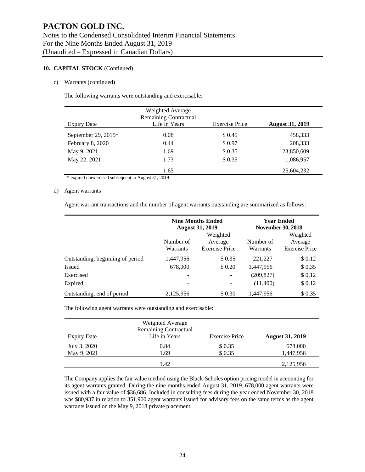### **10. CAPITAL STOCK** (Continued)

### c) Warrants (continued)

The following warrants were outstanding and exercisable:

| <b>Expiry Date</b>  | Weighted Average<br><b>Remaining Contractual</b><br>Life in Years | <b>Exercise Price</b> | <b>August 31, 2019</b> |
|---------------------|-------------------------------------------------------------------|-----------------------|------------------------|
|                     |                                                                   |                       |                        |
| September 29, 2019* | 0.08                                                              | \$ 0.45               | 458,333                |
| February 8, 2020    | 0.44                                                              | \$0.97                | 208,333                |
| May 9, 2021         | 1.69                                                              | \$0.35                | 23,850,609             |
| May 22, 2021        | 1.73                                                              | \$0.35                | 1,086,957              |
|                     | 1.65                                                              |                       | 25,604,232             |

\* expired unexercised subsequent to August 31, 2019

#### d) Agent warrants

Agent warrant transactions and the number of agent warrants outstanding are summarized as follows:

|                                  |                                                                                                | <b>Nine Months Ended</b><br><b>August 31, 2019</b> |            | <b>Year Ended</b><br><b>November 30, 2018</b> |  |  |
|----------------------------------|------------------------------------------------------------------------------------------------|----------------------------------------------------|------------|-----------------------------------------------|--|--|
|                                  | Weighted<br>Number of<br>Number of<br>Average<br><b>Exercise Price</b><br>Warrants<br>Warrants |                                                    |            |                                               |  |  |
| Outstanding, beginning of period | 1,447,956                                                                                      | \$0.35                                             | 221,227    | \$0.12                                        |  |  |
| Issued                           | 678,000                                                                                        | \$0.20                                             | 1,447,956  | \$0.35                                        |  |  |
| Exercised                        | $\overline{\phantom{0}}$                                                                       |                                                    | (209, 827) | \$0.12                                        |  |  |
| Expired                          | -                                                                                              |                                                    | (11,400)   | \$0.12                                        |  |  |
| Outstanding, end of period       | 2.125.956                                                                                      | \$ 0.30                                            | 1,447,956  | \$0.35                                        |  |  |

The following agent warrants were outstanding and exercisable:

|              | Weighted Average<br><b>Remaining Contractual</b> |                       |                        |
|--------------|--------------------------------------------------|-----------------------|------------------------|
| Expiry Date  | Life in Years                                    | <b>Exercise Price</b> | <b>August 31, 2019</b> |
| July 3, 2020 | 0.84                                             | \$ 0.35               | 678,000                |
| May 9, 2021  | 1.69                                             | \$0.35                | 1,447,956              |
|              | 1.42                                             |                       | 2,125,956              |

The Company applies the fair value method using the Black-Scholes option pricing model in accounting for its agent warrants granted. During the nine months ended August 31, 2019, 678,000 agent warrants were issued with a fair value of \$36,686. Included in consulting fees during the year ended November 30, 2018 was \$80,937 in relation to 351,900 agent warrants issued for advisory fees on the same terms as the agent warrants issued on the May 9, 2018 private placement.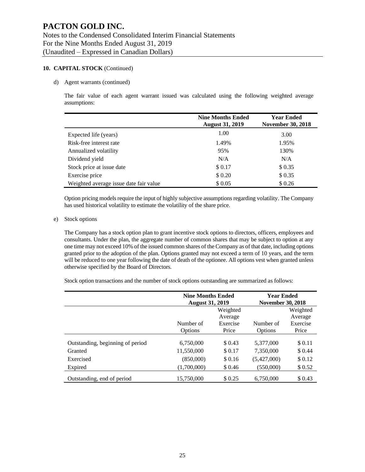### **10. CAPITAL STOCK** (Continued)

#### d) Agent warrants (continued)

The fair value of each agent warrant issued was calculated using the following weighted average assumptions:

|                                        | <b>Nine Months Ended</b><br><b>August 31, 2019</b> | <b>Year Ended</b><br><b>November 30, 2018</b> |
|----------------------------------------|----------------------------------------------------|-----------------------------------------------|
| Expected life (years)                  | 1.00                                               | 3.00                                          |
| Risk-free interest rate                | 1.49%                                              | 1.95%                                         |
| Annualized volatility                  | 95%                                                | 130%                                          |
| Dividend yield                         | N/A                                                | N/A                                           |
| Stock price at issue date              | \$0.17                                             | \$0.35                                        |
| Exercise price                         | \$ 0.20                                            | \$0.35                                        |
| Weighted average issue date fair value | \$0.05                                             | \$0.26                                        |

Option pricing models require the input of highly subjective assumptions regarding volatility. The Company has used historical volatility to estimate the volatility of the share price.

#### e) Stock options

The Company has a stock option plan to grant incentive stock options to directors, officers, employees and consultants. Under the plan, the aggregate number of common shares that may be subject to option at any one time may not exceed 10% of the issued common shares of the Company as of that date, including options granted prior to the adoption of the plan. Options granted may not exceed a term of 10 years, and the term will be reduced to one year following the date of death of the optionee. All options vest when granted unless otherwise specified by the Board of Directors.

Stock option transactions and the number of stock options outstanding are summarized as follows:

|                                  | <b>Nine Months Ended</b><br><b>August 31, 2019</b> |          | <b>Year Ended</b><br><b>November 30, 2018</b> |          |  |
|----------------------------------|----------------------------------------------------|----------|-----------------------------------------------|----------|--|
|                                  |                                                    | Weighted |                                               | Weighted |  |
|                                  |                                                    |          | Average                                       |          |  |
|                                  | Number of                                          | Exercise | Number of                                     | Exercise |  |
|                                  | Options                                            | Price    | Options                                       | Price    |  |
| Outstanding, beginning of period | 6,750,000                                          | \$ 0.43  | 5,377,000                                     | \$0.11   |  |
| Granted                          | 11,550,000                                         | \$0.17   | 7,350,000                                     | \$0.44   |  |
| Exercised                        | (850,000)                                          | \$0.16   | (5,427,000)                                   | \$0.12   |  |
| Expired                          | (1,700,000)                                        | \$0.46   | (550,000)                                     | \$0.52   |  |
| Outstanding, end of period       | 15,750,000                                         | \$ 0.25  | 6,750,000                                     | \$ 0.43  |  |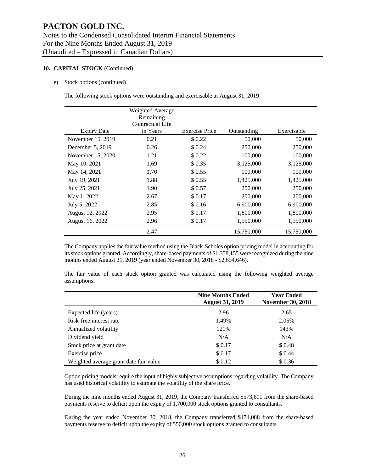#### **10. CAPITAL STOCK** (Continued)

e) Stock options (continued)

The following stock options were outstanding and exercisable at August 31, 2019:

|                    | Weighted Average<br>Remaining<br>Contractual Life |                       |             |             |
|--------------------|---------------------------------------------------|-----------------------|-------------|-------------|
| <b>Expiry Date</b> | in Years                                          | <b>Exercise Price</b> | Outstanding | Exercisable |
| November 15, 2019  | 0.21                                              | \$0.22                | 50,000      | 50,000      |
| December 5, 2019   | 0.26                                              | \$ 0.24               | 250,000     | 250,000     |
| November 15, 2020  | 1.21                                              | \$0.22                | 100,000     | 100,000     |
| May 10, 2021       | 1.69                                              | \$0.35                | 3,125,000   | 3,125,000   |
| May 14, 2021       | 1.70                                              | \$0.55                | 100,000     | 100,000     |
| July 19, 2021      | 1.88                                              | \$ 0.55               | 1,425,000   | 1,425,000   |
| July 25, 2021      | 1.90                                              | \$0.57                | 250,000     | 250,000     |
| May 1, 2022        | 2.67                                              | \$0.17                | 200,000     | 200,000     |
| July 5, 2022       | 2.85                                              | \$0.16                | 6,900,000   | 6,900,000   |
| August 12, 2022    | 2.95                                              | \$0.17                | 1,800,000   | 1,800,000   |
| August 16, 2022    | 2.96                                              | \$0.17                | 1,550,000   | 1,550,000   |
|                    | 2.47                                              |                       | 15,750,000  | 15,750,000  |

The Company applies the fair value method using the Black-Scholes option pricing model in accounting for its stock options granted. Accordingly, share-based payments of \$1,358,155 were recognized during the nine months ended August 31, 2019 (year ended November 30, 2018 - \$2,654,646).

The fair value of each stock option granted was calculated using the following weighted average assumptions:

|                                        | <b>Nine Months Ended</b><br><b>August 31, 2019</b> | <b>Year Ended</b><br><b>November 30, 2018</b> |
|----------------------------------------|----------------------------------------------------|-----------------------------------------------|
| Expected life (years)                  | 2.96                                               | 2.65                                          |
| Risk-free interest rate                | 1.49%                                              | 2.05%                                         |
| Annualized volatility                  | 121%                                               | 143%                                          |
| Dividend yield                         | N/A                                                | N/A                                           |
| Stock price at grant date              | \$ 0.17                                            | \$0.48                                        |
| Exercise price                         | \$ 0.17                                            | \$ 0.44                                       |
| Weighted average grant date fair value | \$0.12                                             | \$0.36                                        |

Option pricing models require the input of highly subjective assumptions regarding volatility. The Company has used historical volatility to estimate the volatility of the share price.

During the nine months ended August 31, 2019, the Company transferred \$573,691 from the share-based payments reserve to deficit upon the expiry of 1,700,000 stock options granted to consultants.

During the year ended November 30, 2018, the Company transferred \$174,088 from the share-based payments reserve to deficit upon the expiry of 550,000 stock options granted to consultants.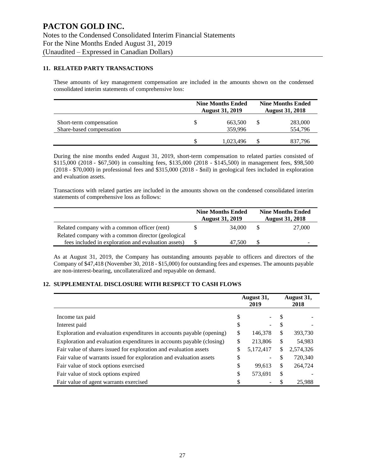### **11. RELATED PARTY TRANSACTIONS**

These amounts of key management compensation are included in the amounts shown on the condensed consolidated interim statements of comprehensive loss:

|                                                     |    | <b>Nine Months Ended</b><br><b>August 31, 2019</b> | <b>Nine Months Ended</b><br><b>August 31, 2018</b> |                    |  |
|-----------------------------------------------------|----|----------------------------------------------------|----------------------------------------------------|--------------------|--|
| Short-term compensation<br>Share-based compensation | S  | 663,500<br>359,996                                 | S                                                  | 283,000<br>554,796 |  |
|                                                     | \$ | 1,023,496                                          |                                                    | 837.796            |  |

During the nine months ended August 31, 2019, short-term compensation to related parties consisted of \$115,000 (2018 - \$67,500) in consulting fees, \$135,000 (2018 - \$145,500) in management fees, \$98,500 (2018 - \$70,000) in professional fees and \$315,000 (2018 - \$nil) in geological fees included in exploration and evaluation assets.

Transactions with related parties are included in the amounts shown on the condensed consolidated interim statements of comprehensive loss as follows:

|                                                     | <b>Nine Months Ended</b><br><b>August 31, 2019</b> | <b>Nine Months Ended</b><br><b>August 31, 2018</b> |        |  |
|-----------------------------------------------------|----------------------------------------------------|----------------------------------------------------|--------|--|
| Related company with a common officer (rent)        | 34,000                                             | <b>S</b>                                           | 27,000 |  |
| Related company with a common director (geological  |                                                    |                                                    |        |  |
| fees included in exploration and evaluation assets) | 47.500                                             |                                                    |        |  |

As at August 31, 2019, the Company has outstanding amounts payable to officers and directors of the Company of \$47,418 (November 30, 2018 - \$15,000) for outstanding fees and expenses. The amounts payable are non-interest-bearing, uncollateralized and repayable on demand.

### **12. SUPPLEMENTAL DISCLOSURE WITH RESPECT TO CASH FLOWS**

|                                                                       |    | August 31,<br>2019 |              | August 31,<br>2018 |
|-----------------------------------------------------------------------|----|--------------------|--------------|--------------------|
| Income tax paid                                                       | S  |                    | S            |                    |
| Interest paid                                                         | S  | -                  | \$.          |                    |
| Exploration and evaluation expenditures in accounts payable (opening) | S  | 146,378            | S.           | 393,730            |
| Exploration and evaluation expenditures in accounts payable (closing) | \$ | 213,806            | \$           | 54,983             |
| Fair value of shares issued for exploration and evaluation assets     | \$ | 5,172,417          | $\mathbb{S}$ | 2,574,326          |
| Fair value of warrants issued for exploration and evaluation assets   | \$ |                    | S            | 720,340            |
| Fair value of stock options exercised                                 | \$ | 99,613             | \$           | 264,724            |
| Fair value of stock options expired                                   | \$ | 573,691            | \$           |                    |
| Fair value of agent warrants exercised                                |    |                    |              | 25.988             |